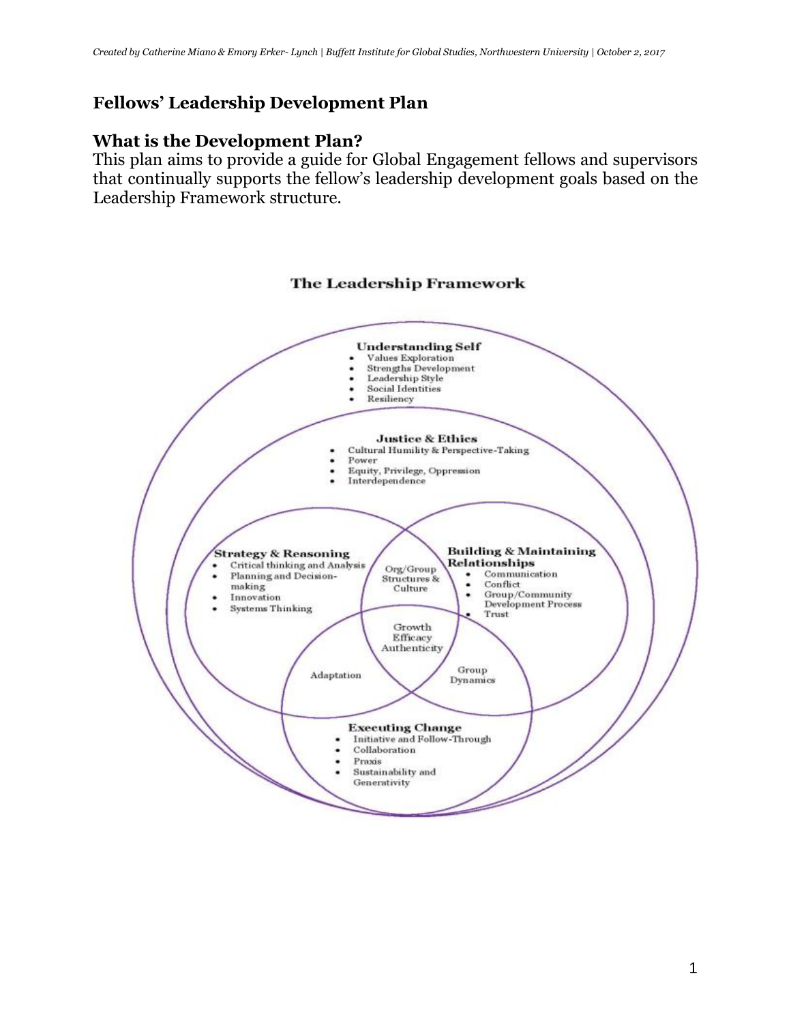### **Fellows' Leadership Development Plan**

### **What is the Development Plan?**

This plan aims to provide a guide for Global Engagement fellows and supervisors that continually supports the fellow's leadership development goals based on the Leadership Framework structure.

#### **The Leadership Framework**

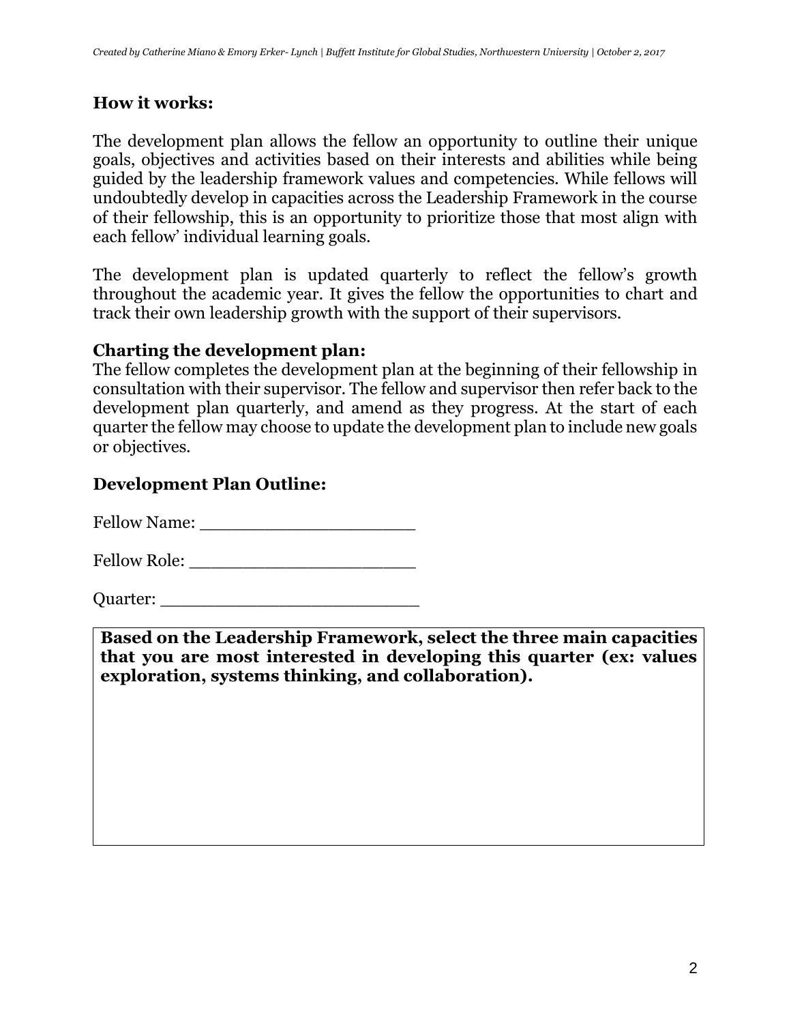### **How it works:**

The development plan allows the fellow an opportunity to outline their unique goals, objectives and activities based on their interests and abilities while being guided by the leadership framework values and competencies. While fellows will undoubtedly develop in capacities across the Leadership Framework in the course of their fellowship, this is an opportunity to prioritize those that most align with each fellow' individual learning goals.

The development plan is updated quarterly to reflect the fellow's growth throughout the academic year. It gives the fellow the opportunities to chart and track their own leadership growth with the support of their supervisors.

### **Charting the development plan:**

The fellow completes the development plan at the beginning of their fellowship in consultation with their supervisor. The fellow and supervisor then refer back to the development plan quarterly, and amend as they progress. At the start of each quarter the fellow may choose to update the development plan to include new goals or objectives.

### **Development Plan Outline:**

Fellow Name:

Fellow Role: \_\_\_\_\_\_\_\_\_\_\_\_\_\_\_\_\_\_\_\_\_

Quarter: \_\_\_\_\_\_\_\_\_\_\_\_\_\_\_\_\_\_\_\_\_\_\_\_

**Based on the Leadership Framework, select the three main capacities that you are most interested in developing this quarter (ex: values exploration, systems thinking, and collaboration).**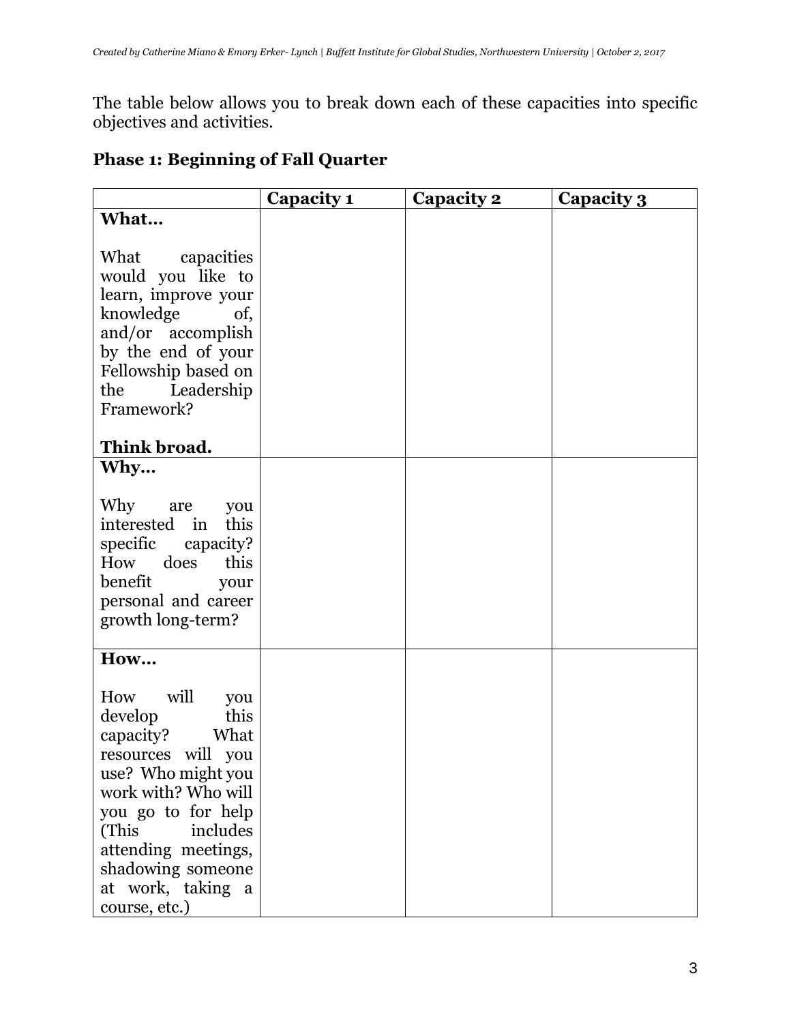The table below allows you to break down each of these capacities into specific objectives and activities.

## **Phase 1: Beginning of Fall Quarter**

|                                                                                                                                                                                                                                                                   | Capacity 1 | Capacity 2 | Capacity 3 |
|-------------------------------------------------------------------------------------------------------------------------------------------------------------------------------------------------------------------------------------------------------------------|------------|------------|------------|
| What                                                                                                                                                                                                                                                              |            |            |            |
| What<br>capacities<br>would you like to<br>learn, improve your<br>knowledge<br>of,<br>and/or accomplish<br>by the end of your<br>Fellowship based on<br>Leadership<br>the<br>Framework?                                                                           |            |            |            |
| Think broad.<br>Why                                                                                                                                                                                                                                               |            |            |            |
| Why<br>are<br>you<br>interested in<br>this<br>specific<br>capacity?<br>How<br>does<br>this<br>benefit<br>your<br>personal and career<br>growth long-term?                                                                                                         |            |            |            |
| How<br>will<br>How<br>you<br>this<br>develop<br>What<br>capacity?<br>resources will you<br>use? Who might you<br>work with? Who will<br>you go to for help<br>(This<br>includes<br>attending meetings,<br>shadowing someone<br>at work, taking a<br>course, etc.) |            |            |            |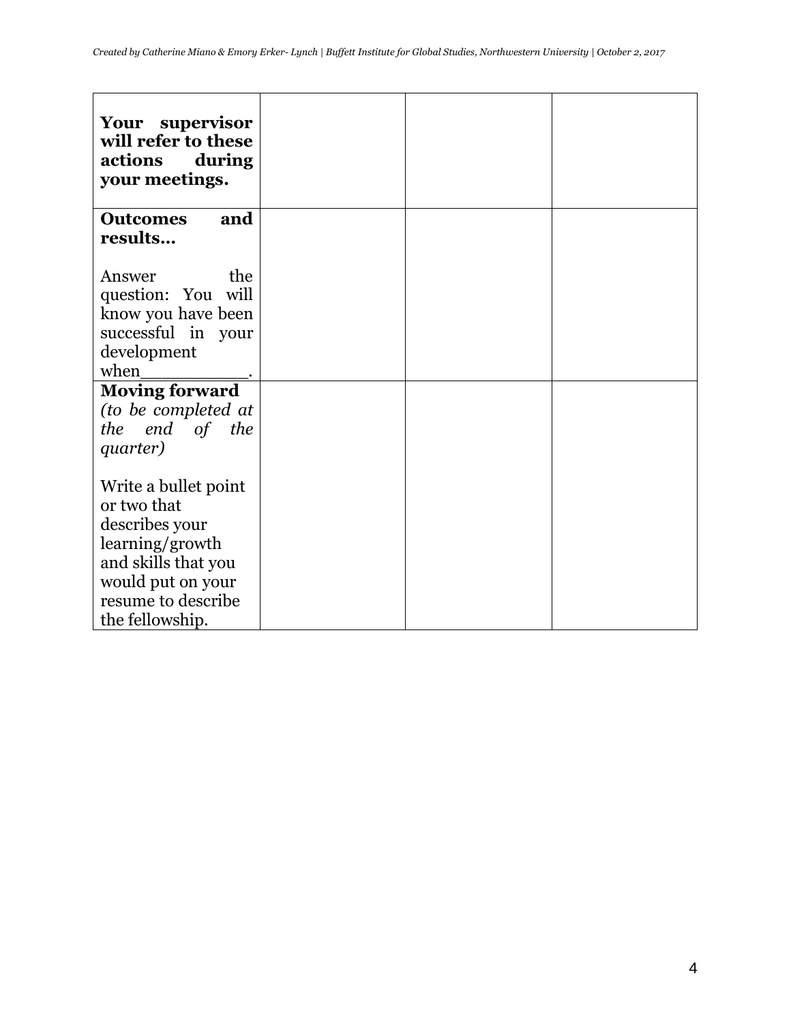| Your<br>supervisor<br>will refer to these<br>actions<br>during<br>your meetings. |  |  |
|----------------------------------------------------------------------------------|--|--|
| <b>Outcomes</b><br>and                                                           |  |  |
| results                                                                          |  |  |
|                                                                                  |  |  |
| the<br>Answer                                                                    |  |  |
| question: You will                                                               |  |  |
| know you have been                                                               |  |  |
| successful in your                                                               |  |  |
| development                                                                      |  |  |
| when                                                                             |  |  |
| <b>Moving forward</b>                                                            |  |  |
| (to be completed at                                                              |  |  |
| end of the<br>the                                                                |  |  |
| quarter)                                                                         |  |  |
|                                                                                  |  |  |
| Write a bullet point                                                             |  |  |
| or two that                                                                      |  |  |
| describes your                                                                   |  |  |
| learning/growth                                                                  |  |  |
| and skills that you<br>would put on your                                         |  |  |
| resume to describe                                                               |  |  |
| the fellowship.                                                                  |  |  |
|                                                                                  |  |  |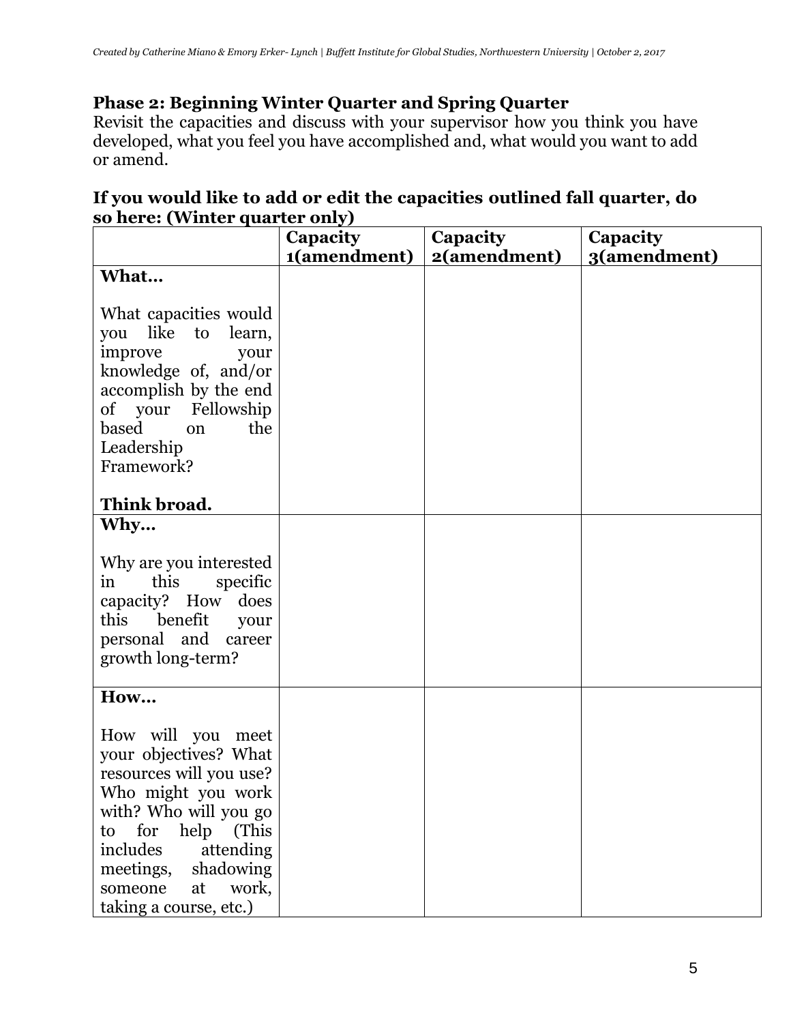### **Phase 2: Beginning Winter Quarter and Spring Quarter**

Revisit the capacities and discuss with your supervisor how you think you have developed, what you feel you have accomplished and, what would you want to add or amend.

### **If you would like to add or edit the capacities outlined fall quarter, do so here: (Winter quarter only)**

|                                                                                                                                                                                                                                                     | Capacity     | Capacity     | Capacity     |
|-----------------------------------------------------------------------------------------------------------------------------------------------------------------------------------------------------------------------------------------------------|--------------|--------------|--------------|
|                                                                                                                                                                                                                                                     | 1(amendment) | 2(amendment) | 3(amendment) |
| What                                                                                                                                                                                                                                                |              |              |              |
| What capacities would<br>like to learn,<br>you<br>improve<br>your<br>knowledge of, and/or<br>accomplish by the end<br>Fellowship<br>of your<br>based<br>the<br>on<br>Leadership<br>Framework?                                                       |              |              |              |
| Think broad.                                                                                                                                                                                                                                        |              |              |              |
| Why                                                                                                                                                                                                                                                 |              |              |              |
| Why are you interested<br>this<br>specific<br>in<br>capacity? How<br>does<br>this<br>benefit<br>your<br>personal and<br>career<br>growth long-term?                                                                                                 |              |              |              |
| How                                                                                                                                                                                                                                                 |              |              |              |
| How will you meet<br>your objectives? What<br>resources will you use?<br>Who might you work<br>with? Who will you go<br>help (This<br>to for<br>includes<br>attending<br>meetings,<br>shadowing<br>work,<br>someone<br>at<br>taking a course, etc.) |              |              |              |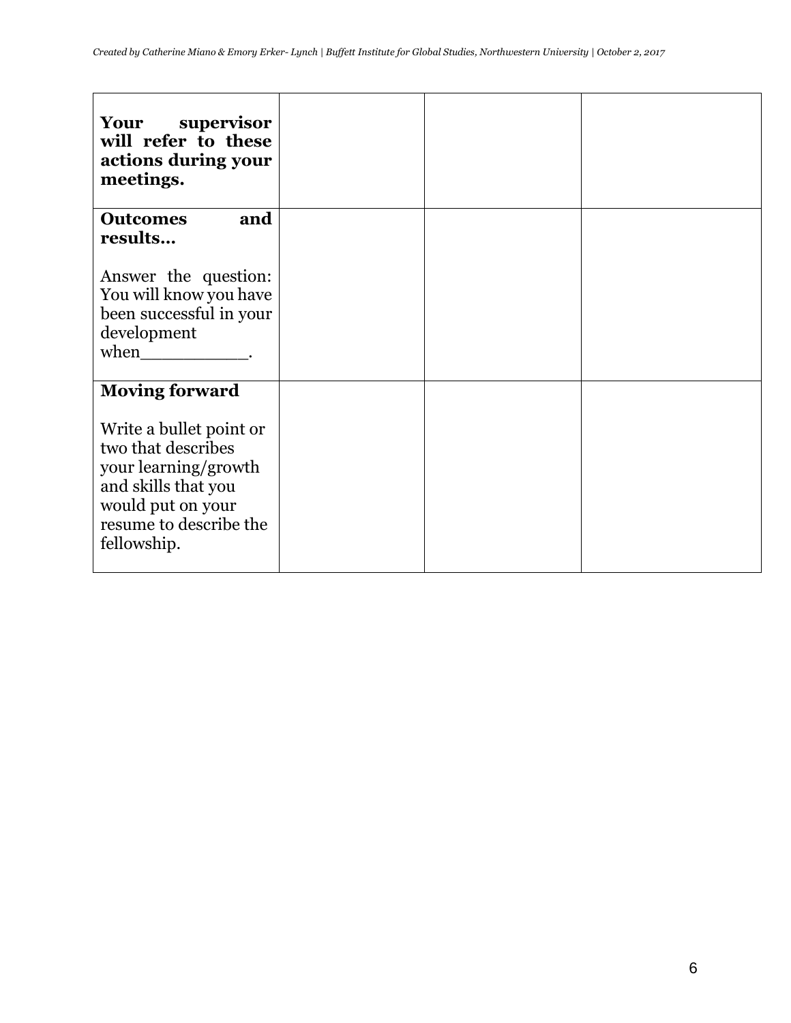| Your supervisor<br>will refer to these<br>actions during your<br>meetings.                                                                                                          |  |  |
|-------------------------------------------------------------------------------------------------------------------------------------------------------------------------------------|--|--|
| <b>Outcomes</b><br>and<br>results                                                                                                                                                   |  |  |
| Answer the question:<br>You will know you have<br>been successful in your<br>development<br>when                                                                                    |  |  |
| <b>Moving forward</b><br>Write a bullet point or<br>two that describes<br>your learning/growth<br>and skills that you<br>would put on your<br>resume to describe the<br>fellowship. |  |  |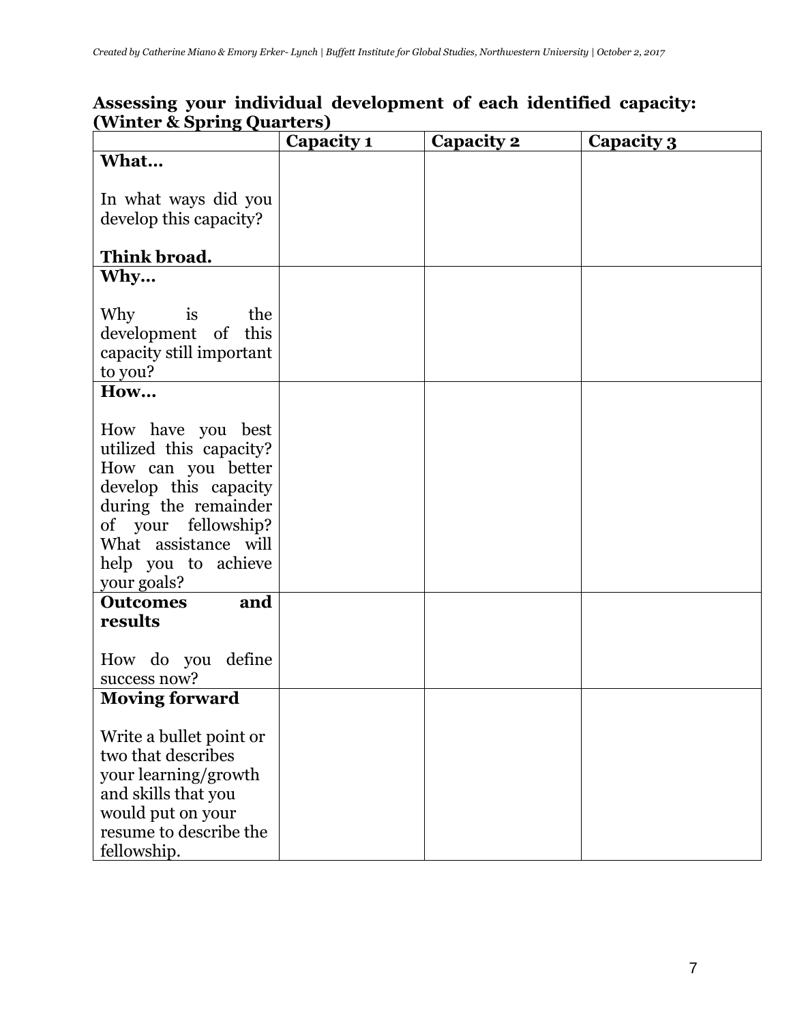### **Assessing your individual development of each identified capacity: (Winter & Spring Quarters)**

|                                                                                                                                                                                                          | Capacity 1 | Capacity 2 | Capacity 3 |
|----------------------------------------------------------------------------------------------------------------------------------------------------------------------------------------------------------|------------|------------|------------|
| What                                                                                                                                                                                                     |            |            |            |
| In what ways did you<br>develop this capacity?<br>Think broad.                                                                                                                                           |            |            |            |
| Why                                                                                                                                                                                                      |            |            |            |
| Why<br>is<br>the<br>development of<br>this<br>capacity still important<br>to you?                                                                                                                        |            |            |            |
| How                                                                                                                                                                                                      |            |            |            |
| How have you best<br>utilized this capacity?<br>How can you better<br>develop this capacity<br>during the remainder<br>of your fellowship?<br>What assistance will<br>help you to achieve<br>your goals? |            |            |            |
| and<br><b>Outcomes</b>                                                                                                                                                                                   |            |            |            |
| results<br>How do you define<br>success now?                                                                                                                                                             |            |            |            |
| <b>Moving forward</b><br>Write a bullet point or<br>two that describes<br>your learning/growth<br>and skills that you<br>would put on your<br>resume to describe the<br>fellowship.                      |            |            |            |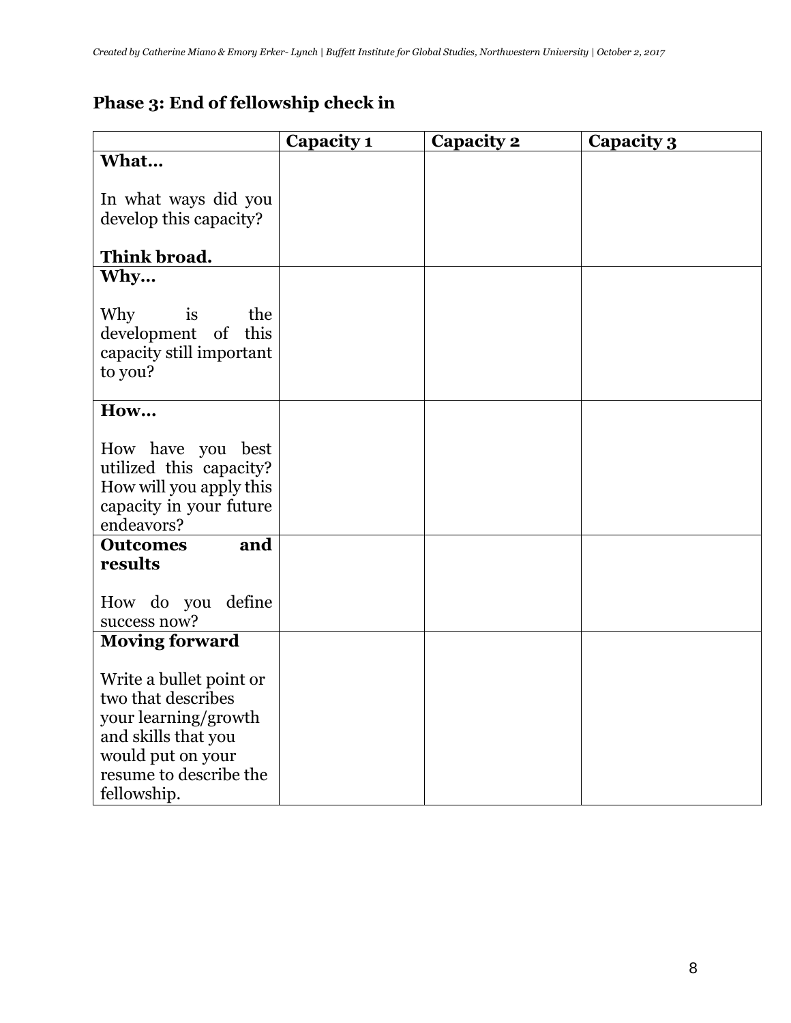# **Phase 3: End of fellowship check in**

|                                                                                                                                                            | Capacity 1 | Capacity 2 | <b>Capacity 3</b> |
|------------------------------------------------------------------------------------------------------------------------------------------------------------|------------|------------|-------------------|
| What                                                                                                                                                       |            |            |                   |
| In what ways did you<br>develop this capacity?<br>Think broad.                                                                                             |            |            |                   |
| Why                                                                                                                                                        |            |            |                   |
| Why<br>is<br>the<br>development of<br>this<br>capacity still important<br>to you?                                                                          |            |            |                   |
| How                                                                                                                                                        |            |            |                   |
| How have you best<br>utilized this capacity?<br>How will you apply this<br>capacity in your future<br>endeavors?                                           |            |            |                   |
| <b>Outcomes</b><br>and                                                                                                                                     |            |            |                   |
| results<br>How do you define<br>success now?                                                                                                               |            |            |                   |
| <b>Moving forward</b>                                                                                                                                      |            |            |                   |
| Write a bullet point or<br>two that describes<br>your learning/growth<br>and skills that you<br>would put on your<br>resume to describe the<br>fellowship. |            |            |                   |